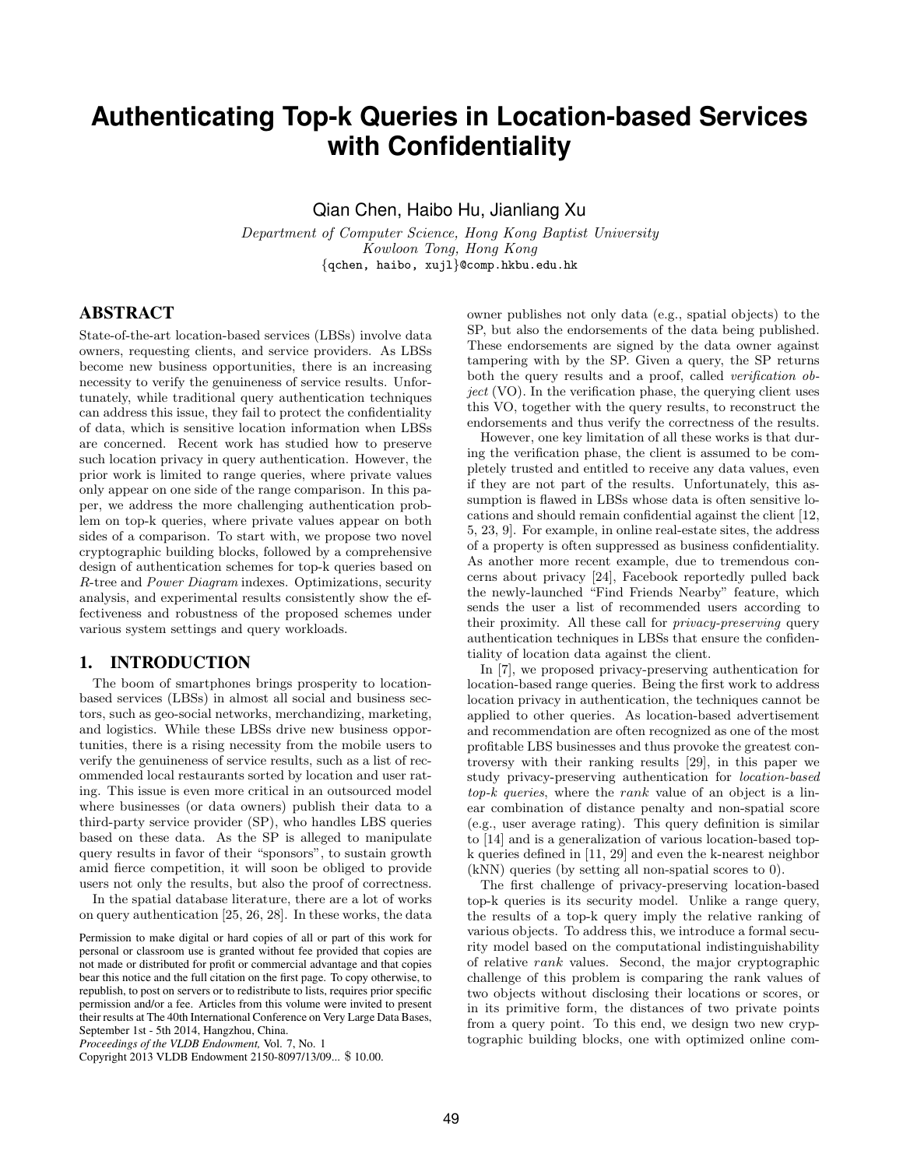# **Authenticating Top-k Queries in Location-based Services with Confidentiality**

Qian Chen, Haibo Hu, Jianliang Xu

Department of Computer Science, Hong Kong Baptist University Kowloon Tong, Hong Kong {qchen, haibo, xujl}@comp.hkbu.edu.hk

# ABSTRACT

State-of-the-art location-based services (LBSs) involve data owners, requesting clients, and service providers. As LBSs become new business opportunities, there is an increasing necessity to verify the genuineness of service results. Unfortunately, while traditional query authentication techniques can address this issue, they fail to protect the confidentiality of data, which is sensitive location information when LBSs are concerned. Recent work has studied how to preserve such location privacy in query authentication. However, the prior work is limited to range queries, where private values only appear on one side of the range comparison. In this paper, we address the more challenging authentication problem on top-k queries, where private values appear on both sides of a comparison. To start with, we propose two novel cryptographic building blocks, followed by a comprehensive design of authentication schemes for top-k queries based on R-tree and Power Diagram indexes. Optimizations, security analysis, and experimental results consistently show the effectiveness and robustness of the proposed schemes under various system settings and query workloads.

## 1. INTRODUCTION

The boom of smartphones brings prosperity to locationbased services (LBSs) in almost all social and business sectors, such as geo-social networks, merchandizing, marketing, and logistics. While these LBSs drive new business opportunities, there is a rising necessity from the mobile users to verify the genuineness of service results, such as a list of recommended local restaurants sorted by location and user rating. This issue is even more critical in an outsourced model where businesses (or data owners) publish their data to a third-party service provider (SP), who handles LBS queries based on these data. As the SP is alleged to manipulate query results in favor of their "sponsors", to sustain growth amid fierce competition, it will soon be obliged to provide users not only the results, but also the proof of correctness.

In the spatial database literature, there are a lot of works on query authentication [25, 26, 28]. In these works, the data

*Proceedings of the VLDB Endowment,* Vol. 7, No. 1

Copyright 2013 VLDB Endowment 2150-8097/13/09... \$ 10.00.

owner publishes not only data (e.g., spatial objects) to the SP, but also the endorsements of the data being published. These endorsements are signed by the data owner against tampering with by the SP. Given a query, the SP returns both the query results and a proof, called *verification object* (VO). In the verification phase, the querying client uses this VO, together with the query results, to reconstruct the endorsements and thus verify the correctness of the results.

However, one key limitation of all these works is that during the verification phase, the client is assumed to be completely trusted and entitled to receive any data values, even if they are not part of the results. Unfortunately, this assumption is flawed in LBSs whose data is often sensitive locations and should remain confidential against the client [12, 5, 23, 9]. For example, in online real-estate sites, the address of a property is often suppressed as business confidentiality. As another more recent example, due to tremendous concerns about privacy [24], Facebook reportedly pulled back the newly-launched "Find Friends Nearby" feature, which sends the user a list of recommended users according to their proximity. All these call for privacy-preserving query authentication techniques in LBSs that ensure the confidentiality of location data against the client.

In [7], we proposed privacy-preserving authentication for location-based range queries. Being the first work to address location privacy in authentication, the techniques cannot be applied to other queries. As location-based advertisement and recommendation are often recognized as one of the most profitable LBS businesses and thus provoke the greatest controversy with their ranking results [29], in this paper we study privacy-preserving authentication for location-based top-k queries, where the rank value of an object is a linear combination of distance penalty and non-spatial score (e.g., user average rating). This query definition is similar to [14] and is a generalization of various location-based topk queries defined in [11, 29] and even the k-nearest neighbor (kNN) queries (by setting all non-spatial scores to 0).

The first challenge of privacy-preserving location-based top-k queries is its security model. Unlike a range query, the results of a top-k query imply the relative ranking of various objects. To address this, we introduce a formal security model based on the computational indistinguishability of relative rank values. Second, the major cryptographic challenge of this problem is comparing the rank values of two objects without disclosing their locations or scores, or in its primitive form, the distances of two private points from a query point. To this end, we design two new cryptographic building blocks, one with optimized online com-

Permission to make digital or hard copies of all or part of this work for personal or classroom use is granted without fee provided that copies are not made or distributed for profit or commercial advantage and that copies bear this notice and the full citation on the first page. To copy otherwise, to republish, to post on servers or to redistribute to lists, requires prior specific permission and/or a fee. Articles from this volume were invited to present their results at The 40th International Conference on Very Large Data Bases, September 1st - 5th 2014, Hangzhou, China.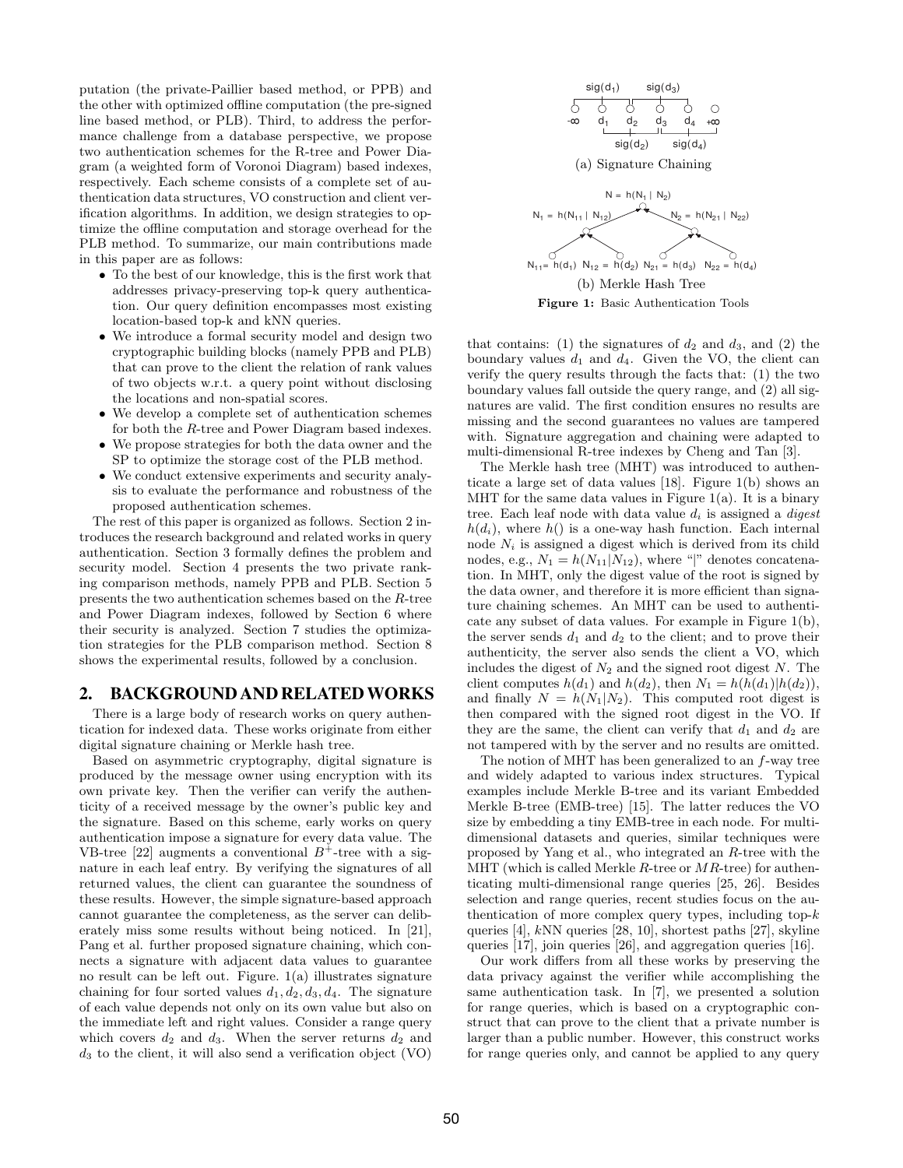putation (the private-Paillier based method, or PPB) and the other with optimized offline computation (the pre-signed line based method, or PLB). Third, to address the performance challenge from a database perspective, we propose two authentication schemes for the R-tree and Power Diagram (a weighted form of Voronoi Diagram) based indexes, respectively. Each scheme consists of a complete set of authentication data structures, VO construction and client verification algorithms. In addition, we design strategies to optimize the offline computation and storage overhead for the PLB method. To summarize, our main contributions made in this paper are as follows:

- To the best of our knowledge, this is the first work that addresses privacy-preserving top-k query authentication. Our query definition encompasses most existing location-based top-k and kNN queries.
- We introduce a formal security model and design two cryptographic building blocks (namely PPB and PLB) that can prove to the client the relation of rank values of two objects w.r.t. a query point without disclosing the locations and non-spatial scores.
- We develop a complete set of authentication schemes for both the R-tree and Power Diagram based indexes.
- We propose strategies for both the data owner and the SP to optimize the storage cost of the PLB method.
- We conduct extensive experiments and security analysis to evaluate the performance and robustness of the proposed authentication schemes.

The rest of this paper is organized as follows. Section 2 introduces the research background and related works in query authentication. Section 3 formally defines the problem and security model. Section 4 presents the two private ranking comparison methods, namely PPB and PLB. Section 5 presents the two authentication schemes based on the R-tree and Power Diagram indexes, followed by Section 6 where their security is analyzed. Section 7 studies the optimization strategies for the PLB comparison method. Section 8 shows the experimental results, followed by a conclusion.

# 2. BACKGROUND AND RELATEDWORKS

There is a large body of research works on query authentication for indexed data. These works originate from either digital signature chaining or Merkle hash tree.

Based on asymmetric cryptography, digital signature is produced by the message owner using encryption with its own private key. Then the verifier can verify the authenticity of a received message by the owner's public key and the signature. Based on this scheme, early works on query authentication impose a signature for every data value. The VB-tree [22] augments a conventional  $B^+$ -tree with a signature in each leaf entry. By verifying the signatures of all returned values, the client can guarantee the soundness of these results. However, the simple signature-based approach cannot guarantee the completeness, as the server can deliberately miss some results without being noticed. In [21], Pang et al. further proposed signature chaining, which connects a signature with adjacent data values to guarantee no result can be left out. Figure.  $1(a)$  illustrates signature chaining for four sorted values  $d_1, d_2, d_3, d_4$ . The signature of each value depends not only on its own value but also on the immediate left and right values. Consider a range query which covers  $d_2$  and  $d_3$ . When the server returns  $d_2$  and  $d_3$  to the client, it will also send a verification object (VO)



that contains: (1) the signatures of  $d_2$  and  $d_3$ , and (2) the boundary values  $d_1$  and  $d_4$ . Given the VO, the client can verify the query results through the facts that: (1) the two boundary values fall outside the query range, and (2) all signatures are valid. The first condition ensures no results are missing and the second guarantees no values are tampered with. Signature aggregation and chaining were adapted to multi-dimensional R-tree indexes by Cheng and Tan [3].

The Merkle hash tree (MHT) was introduced to authenticate a large set of data values [18]. Figure 1(b) shows an MHT for the same data values in Figure  $1(a)$ . It is a binary tree. Each leaf node with data value  $d_i$  is assigned a *digest*  $h(d_i)$ , where  $h()$  is a one-way hash function. Each internal node  $N_i$  is assigned a digest which is derived from its child nodes, e.g.,  $N_1 = h(N_{11}|N_{12})$ , where "|" denotes concatenation. In MHT, only the digest value of the root is signed by the data owner, and therefore it is more efficient than signature chaining schemes. An MHT can be used to authenticate any subset of data values. For example in Figure 1(b), the server sends  $d_1$  and  $d_2$  to the client; and to prove their authenticity, the server also sends the client a VO, which includes the digest of  $N_2$  and the signed root digest N. The client computes  $h(d_1)$  and  $h(d_2)$ , then  $N_1 = h(h(d_1)|h(d_2))$ , and finally  $N = h(N_1|N_2)$ . This computed root digest is then compared with the signed root digest in the VO. If they are the same, the client can verify that  $d_1$  and  $d_2$  are not tampered with by the server and no results are omitted.

The notion of MHT has been generalized to an  $f$ -way tree and widely adapted to various index structures. Typical examples include Merkle B-tree and its variant Embedded Merkle B-tree (EMB-tree) [15]. The latter reduces the VO size by embedding a tiny EMB-tree in each node. For multidimensional datasets and queries, similar techniques were proposed by Yang et al., who integrated an R-tree with the MHT (which is called Merkle R-tree or  $MR$ -tree) for authenticating multi-dimensional range queries [25, 26]. Besides selection and range queries, recent studies focus on the authentication of more complex query types, including top- $k$ queries [4], kNN queries [28, 10], shortest paths [27], skyline queries [17], join queries [26], and aggregation queries [16].

Our work differs from all these works by preserving the data privacy against the verifier while accomplishing the same authentication task. In [7], we presented a solution for range queries, which is based on a cryptographic construct that can prove to the client that a private number is larger than a public number. However, this construct works for range queries only, and cannot be applied to any query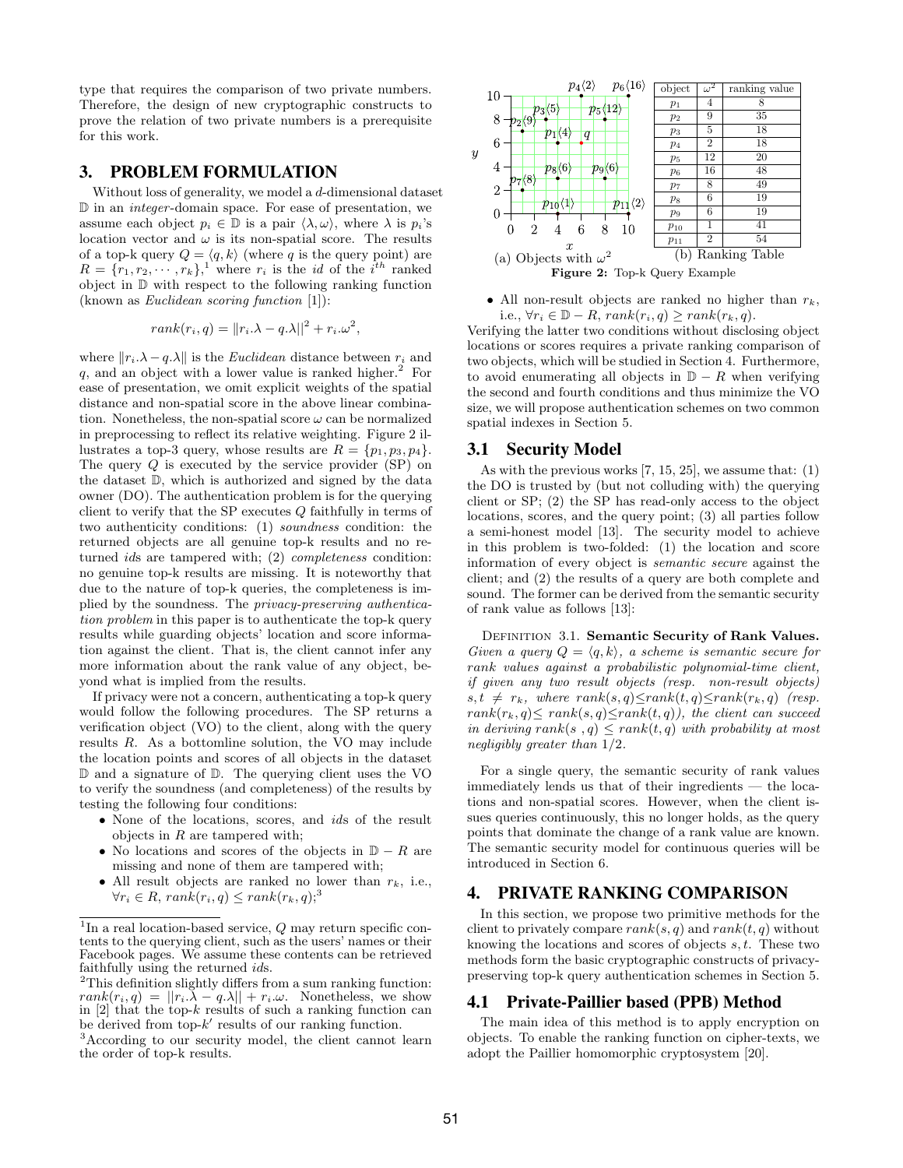type that requires the comparison of two private numbers. Therefore, the design of new cryptographic constructs to prove the relation of two private numbers is a prerequisite for this work.

# 3. PROBLEM FORMULATION

Without loss of generality, we model a d-dimensional dataset D in an integer -domain space. For ease of presentation, we assume each object  $p_i \in \mathbb{D}$  is a pair  $\langle \lambda, \omega \rangle$ , where  $\lambda$  is  $p_i$ 's location vector and  $\omega$  is its non-spatial score. The results of a top-k query  $Q = \langle q, k \rangle$  (where q is the query point) are  $R = \{r_1, r_2, \cdots, r_k\}$ , where  $r_i$  is the *id* of the *i*<sup>th</sup> ranked object in D with respect to the following ranking function (known as Euclidean scoring function [1]):

$$
rank(r_i, q) = ||r_i \cdot \lambda - q \cdot \lambda||^2 + r_i \cdot \omega^2,
$$

where  $||r_i.\lambda - q.\lambda||$  is the *Euclidean* distance between  $r_i$  and  $q$ , and an object with a lower value is ranked higher.<sup>2</sup> For ease of presentation, we omit explicit weights of the spatial distance and non-spatial score in the above linear combination. Nonetheless, the non-spatial score  $\omega$  can be normalized in preprocessing to reflect its relative weighting. Figure 2 illustrates a top-3 query, whose results are  $R = \{p_1, p_3, p_4\}.$ The query  $Q$  is executed by the service provider (SP) on the dataset D, which is authorized and signed by the data owner (DO). The authentication problem is for the querying client to verify that the SP executes  $Q$  faithfully in terms of two authenticity conditions: (1) soundness condition: the returned objects are all genuine top-k results and no returned ids are tampered with; (2) completeness condition: no genuine top-k results are missing. It is noteworthy that due to the nature of top-k queries, the completeness is implied by the soundness. The privacy-preserving authentication problem in this paper is to authenticate the top-k query results while guarding objects' location and score information against the client. That is, the client cannot infer any more information about the rank value of any object, beyond what is implied from the results.

If privacy were not a concern, authenticating a top-k query would follow the following procedures. The SP returns a verification object (VO) to the client, along with the query results R. As a bottomline solution, the VO may include the location points and scores of all objects in the dataset D and a signature of D. The querying client uses the VO to verify the soundness (and completeness) of the results by testing the following four conditions:

- None of the locations, scores, and ids of the result objects in  $R$  are tampered with;
- No locations and scores of the objects in  $D R$  are missing and none of them are tampered with;
- All result objects are ranked no lower than  $r_k$ , i.e.,  $\forall r_i \in R$ ,  $rank(r_i, q) \leq rank(r_k, q)$ ;<sup>3</sup>





Verifying the latter two conditions without disclosing object locations or scores requires a private ranking comparison of two objects, which will be studied in Section 4. Furthermore, to avoid enumerating all objects in  $D - R$  when verifying the second and fourth conditions and thus minimize the VO size, we will propose authentication schemes on two common spatial indexes in Section 5.

## 3.1 Security Model

As with the previous works [7, 15, 25], we assume that: (1) the DO is trusted by (but not colluding with) the querying client or SP; (2) the SP has read-only access to the object locations, scores, and the query point; (3) all parties follow a semi-honest model [13]. The security model to achieve in this problem is two-folded: (1) the location and score information of every object is semantic secure against the client; and (2) the results of a query are both complete and sound. The former can be derived from the semantic security of rank value as follows [13]:

DEFINITION 3.1. Semantic Security of Rank Values. Given a query  $Q = \langle q, k \rangle$ , a scheme is semantic secure for rank values against a probabilistic polynomial-time client, if given any two result objects (resp. non-result objects)  $s, t \neq r_k$ , where  $rank(s, q) \leq rank(t, q) \leq rank(r_k, q)$  (resp.  $rank(r_k, q) \le rank(s, q) \le rank(t, q)$ , the client can succeed in deriving rank(s,q)  $\leq$  rank(t,q) with probability at most negligibly greater than 1/2.

For a single query, the semantic security of rank values immediately lends us that of their ingredients — the locations and non-spatial scores. However, when the client issues queries continuously, this no longer holds, as the query points that dominate the change of a rank value are known. The semantic security model for continuous queries will be introduced in Section 6.

# 4. PRIVATE RANKING COMPARISON

In this section, we propose two primitive methods for the client to privately compare  $rank(s, q)$  and  $rank(t, q)$  without knowing the locations and scores of objects s, t. These two methods form the basic cryptographic constructs of privacypreserving top-k query authentication schemes in Section 5.

## 4.1 Private-Paillier based (PPB) Method

The main idea of this method is to apply encryption on objects. To enable the ranking function on cipher-texts, we adopt the Paillier homomorphic cryptosystem [20].

<sup>&</sup>lt;sup>1</sup>In a real location-based service,  $Q$  may return specific contents to the querying client, such as the users' names or their Facebook pages. We assume these contents can be retrieved faithfully using the returned ids.

<sup>2</sup>This definition slightly differs from a sum ranking function:  $rank(r_i, q) = ||r_i \overline{\lambda} - q \overline{\lambda}|| + r_i \omega$ . Nonetheless, we show in  $[2]$  that the top-k results of such a ranking function can be derived from  $top-k'$  results of our ranking function.

<sup>&</sup>lt;sup>3</sup>According to our security model, the client cannot learn the order of top-k results.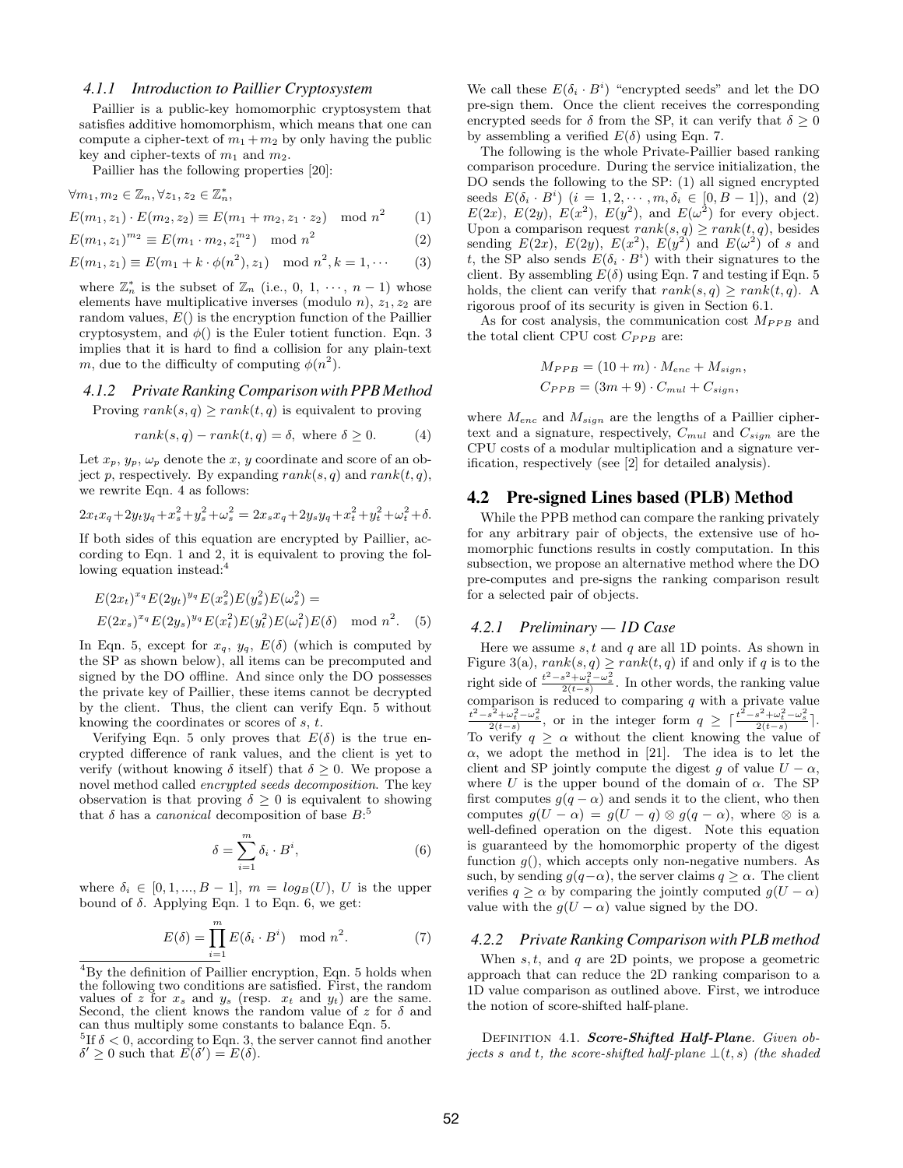#### *4.1.1 Introduction to Paillier Cryptosystem*

Paillier is a public-key homomorphic cryptosystem that satisfies additive homomorphism, which means that one can compute a cipher-text of  $m_1 + m_2$  by only having the public key and cipher-texts of  $m_1$  and  $m_2$ .

Paillier has the following properties [20]:

$$
\forall m_1, m_2 \in \mathbb{Z}_n, \forall z_1, z_2 \in \mathbb{Z}_n^*,
$$

$$
E(m_1, z_1) \cdot E(m_2, z_2) \equiv E(m_1 + m_2, z_1 \cdot z_2) \mod n^2 \qquad (1)
$$

$$
E(m_1, z_1)^{m_2} \equiv E(m_1 \cdot m_2, z_1^{m_2}) \mod n^2 \tag{2}
$$

 $E(m_1, z_1) \equiv E(m_1 + k \cdot \phi(n^2), z_1) \mod n^2, k = 1, \cdots$  (3)

where  $\mathbb{Z}_n^*$  is the subset of  $\mathbb{Z}_n$  (i.e., 0, 1,  $\cdots$ ,  $n-1$ ) whose elements have multiplicative inverses (modulo *n*),  $z_1, z_2$  are random values,  $E()$  is the encryption function of the Paillier cryptosystem, and  $\phi()$  is the Euler totient function. Eqn. 3 implies that it is hard to find a collision for any plain-text m, due to the difficulty of computing  $\phi(n^2)$ .

# *4.1.2 Private Ranking Comparison with PPB Method*

Proving  $rank(s, q) \ge rank(t, q)$  is equivalent to proving

$$
rank(s, q) - rank(t, q) = \delta, \text{ where } \delta \ge 0.
$$
 (4)

Let  $x_p, y_p, \omega_p$  denote the x, y coordinate and score of an object p, respectively. By expanding  $rank(s, q)$  and  $rank(t, q)$ , we rewrite Eqn. 4 as follows:

$$
2x_t x_q + 2y_t y_q + x_s^2 + y_s^2 + \omega_s^2 = 2x_s x_q + 2y_s y_q + x_t^2 + y_t^2 + \omega_t^2 + \delta.
$$

If both sides of this equation are encrypted by Paillier, according to Eqn. 1 and 2, it is equivalent to proving the following equation instead:<sup>4</sup>

$$
E(2x_t)^{x_q} E(2y_t)^{y_q} E(x_s^2) E(y_s^2) E(\omega_s^2) =
$$
  
 
$$
E(2x_s)^{x_q} E(2y_s)^{y_q} E(x_t^2) E(y_t^2) E(\omega_t^2) E(\delta) \mod n^2.
$$
 (5)

In Eqn. 5, except for  $x_q$ ,  $y_q$ ,  $E(\delta)$  (which is computed by the SP as shown below), all items can be precomputed and signed by the DO offline. And since only the DO possesses the private key of Paillier, these items cannot be decrypted by the client. Thus, the client can verify Eqn. 5 without knowing the coordinates or scores of s, t.

Verifying Eqn. 5 only proves that  $E(\delta)$  is the true encrypted difference of rank values, and the client is yet to verify (without knowing  $\delta$  itself) that  $\delta \geq 0$ . We propose a novel method called encrypted seeds decomposition. The key observation is that proving  $\delta \geq 0$  is equivalent to showing that  $\delta$  has a *canonical* decomposition of base  $B$ :<sup>5</sup>

$$
\delta = \sum_{i=1}^{m} \delta_i \cdot B^i,\tag{6}
$$

where  $\delta_i \in [0, 1, ..., B-1], m = log_B(U), U$  is the upper bound of  $\delta$ . Applying Eqn. 1 to Eqn. 6, we get:

$$
E(\delta) = \prod_{i=1}^{m} E(\delta_i \cdot B^i) \mod n^2.
$$
 (7)

We call these  $E(\delta_i \cdot B^i)$  "encrypted seeds" and let the DO pre-sign them. Once the client receives the corresponding encrypted seeds for  $\delta$  from the SP, it can verify that  $\delta \geq 0$ by assembling a verified  $E(\delta)$  using Eqn. 7.

The following is the whole Private-Paillier based ranking comparison procedure. During the service initialization, the DO sends the following to the SP: (1) all signed encrypted seeds  $E(\delta_i \cdot B^i)$   $(i = 1, 2, \dots, m, \delta_i \in [0, B-1]),$  and (2)  $E(2x)$ ,  $E(2y)$ ,  $E(x^2)$ ,  $E(y^2)$ , and  $E(\omega^2)$  for every object. Upon a comparison request  $rank(s, q) \ge rank(t, q)$ , besides sending  $E(2x)$ ,  $E(2y)$ ,  $E(x^2)$ ,  $E(y^2)$  and  $E(\omega^2)$  of s and t, the SP also sends  $E(\delta_i \cdot B^i)$  with their signatures to the client. By assembling  $E(\delta)$  using Eqn. 7 and testing if Eqn. 5 holds, the client can verify that  $rank(s, q) \ge rank(t, q)$ . A rigorous proof of its security is given in Section 6.1.

As for cost analysis, the communication cost  $M_{PPB}$  and the total client CPU cost  $C_{PPB}$  are:

$$
M_{PPB} = (10 + m) \cdot M_{enc} + M_{sign},
$$
  
\n
$$
C_{PPB} = (3m + 9) \cdot C_{mul} + C_{sign},
$$

where  $M_{enc}$  and  $M_{sign}$  are the lengths of a Paillier ciphertext and a signature, respectively,  $C_{mul}$  and  $C_{sign}$  are the CPU costs of a modular multiplication and a signature verification, respectively (see [2] for detailed analysis).

#### 4.2 Pre-signed Lines based (PLB) Method

While the PPB method can compare the ranking privately for any arbitrary pair of objects, the extensive use of homomorphic functions results in costly computation. In this subsection, we propose an alternative method where the DO pre-computes and pre-signs the ranking comparison result for a selected pair of objects.

#### *4.2.1 Preliminary — 1D Case*

Here we assume s, t and q are all 1D points. As shown in Figure 3(a),  $rank(s, q) \ge rank(t, q)$  if and only if q is to the right side of  $\frac{t^2 - s^2 + \omega_t^2 - \omega_s^2}{2(t-s)}$ . In other words, the ranking value comparison is reduced to comparing q with a private value  $t^2 - s^2 + \omega_t^2 - \omega_s^2$  $t^{\frac{s^2+\omega_t^2-\omega_s^2}{2(t-s)}}$ , or in the integer form  $q \geq \lceil \frac{t^2-s^2+\omega_t^2-\omega_s^2}{2(t-s)} \rceil$ . To verify  $q \geq \alpha$  without the client knowing the value of  $\alpha$ , we adopt the method in [21]. The idea is to let the client and SP jointly compute the digest g of value  $U - \alpha$ , where U is the upper bound of the domain of  $\alpha$ . The SP first computes  $g(q - \alpha)$  and sends it to the client, who then computes  $g(U - \alpha) = g(U - q) \otimes g(q - \alpha)$ , where  $\otimes$  is a well-defined operation on the digest. Note this equation is guaranteed by the homomorphic property of the digest function  $q()$ , which accepts only non-negative numbers. As such, by sending  $g(q-\alpha)$ , the server claims  $q \ge \alpha$ . The client verifies  $q \ge \alpha$  by comparing the jointly computed  $g(U - \alpha)$ value with the  $g(U - \alpha)$  value signed by the DO.

#### *4.2.2 Private Ranking Comparison with PLB method*

When  $s, t$ , and  $q$  are 2D points, we propose a geometric approach that can reduce the 2D ranking comparison to a 1D value comparison as outlined above. First, we introduce the notion of score-shifted half-plane.

DEFINITION 4.1. Score-Shifted Half-Plane. Given objects s and t, the score-shifted half-plane  $\bot(t, s)$  (the shaded

<sup>4</sup>By the definition of Paillier encryption, Eqn. 5 holds when the following two conditions are satisfied. First, the random values of z for  $x_s$  and  $y_s$  (resp.  $x_t$  and  $y_t$ ) are the same. Second, the client knows the random value of z for  $\delta$  and can thus multiply some constants to balance Eqn. 5.

<sup>&</sup>lt;sup>5</sup>If  $\delta$  < 0, according to Eqn. 3, the server cannot find another  $\delta' \geq 0$  such that  $\widetilde{E}(\delta') = E(\delta).$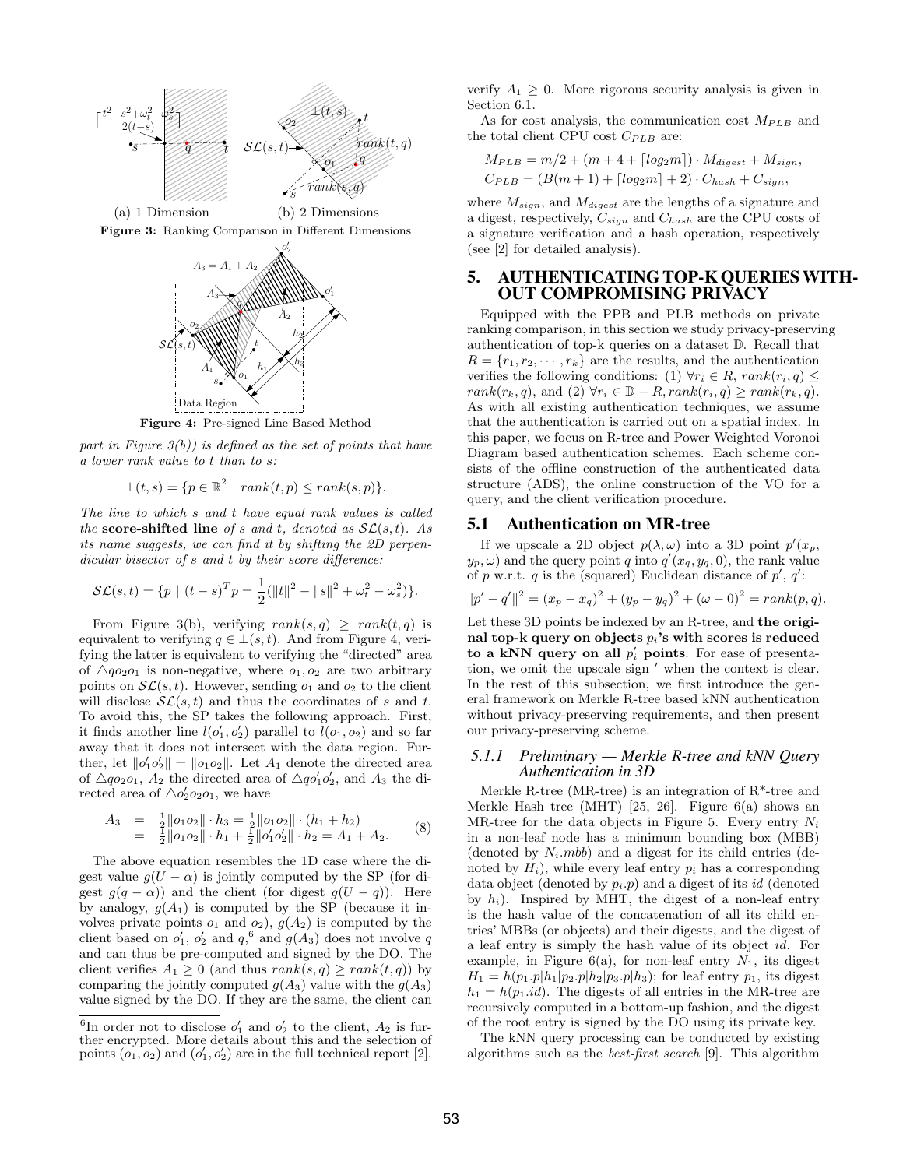

Figure 3: Ranking Comparison in Different Dimensions



Figure 4: Pre-signed Line Based Method

part in Figure  $3(b)$ ) is defined as the set of points that have a lower rank value to t than to s:

$$
\bot(t,s) = \{ p \in \mathbb{R}^2 \mid rank(t,p) \le rank(s,p) \}.
$$

The line to which s and t have equal rank values is called the score-shifted line of s and t, denoted as  $\mathcal{SL}(s,t)$ . As its name suggests, we can find it by shifting the 2D perpendicular bisector of s and t by their score difference:

$$
\mathcal{SL}(s,t) = \{ p \mid (t-s)^T p = \frac{1}{2} (||t||^2 - ||s||^2 + \omega_t^2 - \omega_s^2) \}.
$$

From Figure 3(b), verifying  $rank(s,q) \geq rank(t,q)$  is equivalent to verifying  $q \in \bot(s, t)$ . And from Figure 4, verifying the latter is equivalent to verifying the "directed" area of  $\triangle qo_2o_1$  is non-negative, where  $o_1, o_2$  are two arbitrary points on  $\mathcal{SL}(s,t)$ . However, sending  $o_1$  and  $o_2$  to the client will disclose  $\mathcal{SL}(s,t)$  and thus the coordinates of s and t. To avoid this, the SP takes the following approach. First, it finds another line  $l(o'_1, o'_2)$  parallel to  $l(o_1, o_2)$  and so far away that it does not intersect with the data region. Further, let  $\|\rho'_1\rho'_2\| = \|\rho_1\rho_2\|$ . Let  $A_1$  denote the directed area of  $\triangle qo_2o_1$ ,  $A_2$  the directed area of  $\triangle qo'_1o'_2$ , and  $A_3$  the directed area of  $\triangle o'_2o_2o_1$ , we have

$$
A_3 = \frac{1}{2} \|o_1 o_2\| \cdot h_3 = \frac{1}{2} \|o_1 o_2\| \cdot (h_1 + h_2)
$$
  
= 
$$
\frac{1}{2} \|o_1 o_2\| \cdot h_1 + \frac{1}{2} \|o'_1 o'_2\| \cdot h_2 = A_1 + A_2.
$$
 (8)

The above equation resembles the 1D case where the digest value  $g(U - \alpha)$  is jointly computed by the SP (for digest  $g(q - \alpha)$  and the client (for digest  $g(U - q)$ ). Here by analogy,  $g(A_1)$  is computed by the SP (because it involves private points  $o_1$  and  $o_2$ ),  $g(A_2)$  is computed by the client based on  $o'_1$ ,  $o'_2$  and  $q$ ,  $\overset{6}{\circ}$  and  $q(A_3)$  does not involve q and can thus be pre-computed and signed by the DO. The client verifies  $A_1 \geq 0$  (and thus  $rank(s, q) \geq rank(t, q)$ ) by comparing the jointly computed  $q(A_3)$  value with the  $q(A_3)$ value signed by the DO. If they are the same, the client can

verify  $A_1 \geq 0$ . More rigorous security analysis is given in Section 6.1.

As for cost analysis, the communication cost  $M_{PLB}$  and the total client CPU cost  $C_{PLB}$  are:

$$
M_{PLB} = m/2 + (m + 4 + \lceil log_2 m \rceil) \cdot M_{digest} + M_{sign},
$$
  
\n
$$
C_{PLB} = (B(m + 1) + \lceil log_2 m \rceil + 2) \cdot C_{hash} + C_{sign},
$$

where  $M_{sign}$ , and  $M_{digest}$  are the lengths of a signature and a digest, respectively,  $C_{sign}$  and  $C_{hash}$  are the CPU costs of a signature verification and a hash operation, respectively (see [2] for detailed analysis).

# 5. AUTHENTICATING TOP-K QUERIESWITH-OUT COMPROMISING PRIVACY

Equipped with the PPB and PLB methods on private ranking comparison, in this section we study privacy-preserving authentication of top-k queries on a dataset D. Recall that  $R = \{r_1, r_2, \dots, r_k\}$  are the results, and the authentication verifies the following conditions: (1)  $\forall r_i \in R$ ,  $rank(r_i, q) \leq$  $rank(r_k, q)$ , and  $(2) \forall r_i \in \mathbb{D} - R, rank(r_i, q) \geq rank(r_k, q)$ . As with all existing authentication techniques, we assume that the authentication is carried out on a spatial index. In this paper, we focus on R-tree and Power Weighted Voronoi Diagram based authentication schemes. Each scheme consists of the offline construction of the authenticated data structure (ADS), the online construction of the VO for a query, and the client verification procedure.

#### 5.1 Authentication on MR-tree

If we upscale a 2D object  $p(\lambda, \omega)$  into a 3D point  $p'(x_p, \omega)$  $(y_p, \omega)$  and the query point q into  $q'(x_q, y_q, 0)$ , the rank value of p w.r.t. q is the (squared) Euclidean distance of  $p'$ ,  $q'$ :

$$
||p'-q'||^2 = (x_p - x_q)^2 + (y_p - y_q)^2 + (\omega - 0)^2 = rank(p, q).
$$

Let these 3D points be indexed by an R-tree, and the original top-k query on objects  $p_i$ 's with scores is reduced to a kNN query on all  $p'_i$  points. For ease of presentation, we omit the upscale sign  $\prime$  when the context is clear. In the rest of this subsection, we first introduce the general framework on Merkle R-tree based kNN authentication without privacy-preserving requirements, and then present our privacy-preserving scheme.

#### *5.1.1 Preliminary — Merkle R-tree and kNN Query Authentication in 3D*

Merkle R-tree (MR-tree) is an integration of R\*-tree and Merkle Hash tree (MHT) [25, 26]. Figure  $6(a)$  shows an MR-tree for the data objects in Figure 5. Every entry  $N_i$ in a non-leaf node has a minimum bounding box (MBB) (denoted by  $N_i$ .*mbb*) and a digest for its child entries (denoted by  $H_i$ ), while every leaf entry  $p_i$  has a corresponding data object (denoted by  $p_i$ , p) and a digest of its id (denoted by  $h_i$ ). Inspired by MHT, the digest of a non-leaf entry is the hash value of the concatenation of all its child entries' MBBs (or objects) and their digests, and the digest of a leaf entry is simply the hash value of its object id. For example, in Figure  $6(a)$ , for non-leaf entry  $N_1$ , its digest  $H_1 = h(p_1.p|h_1|p_2.p|h_2|p_3.p|h_3)$ ; for leaf entry  $p_1$ , its digest  $h_1 = h(p_1.id)$ . The digests of all entries in the MR-tree are recursively computed in a bottom-up fashion, and the digest of the root entry is signed by the DO using its private key.

The kNN query processing can be conducted by existing algorithms such as the best-first search [9]. This algorithm

<sup>&</sup>lt;sup>6</sup>In order not to disclose  $o'_1$  and  $o'_2$  to the client,  $A_2$  is further encrypted. More details about this and the selection of points  $(o_1, o_2)$  and  $(o'_1, o'_2)$  are in the full technical report [2].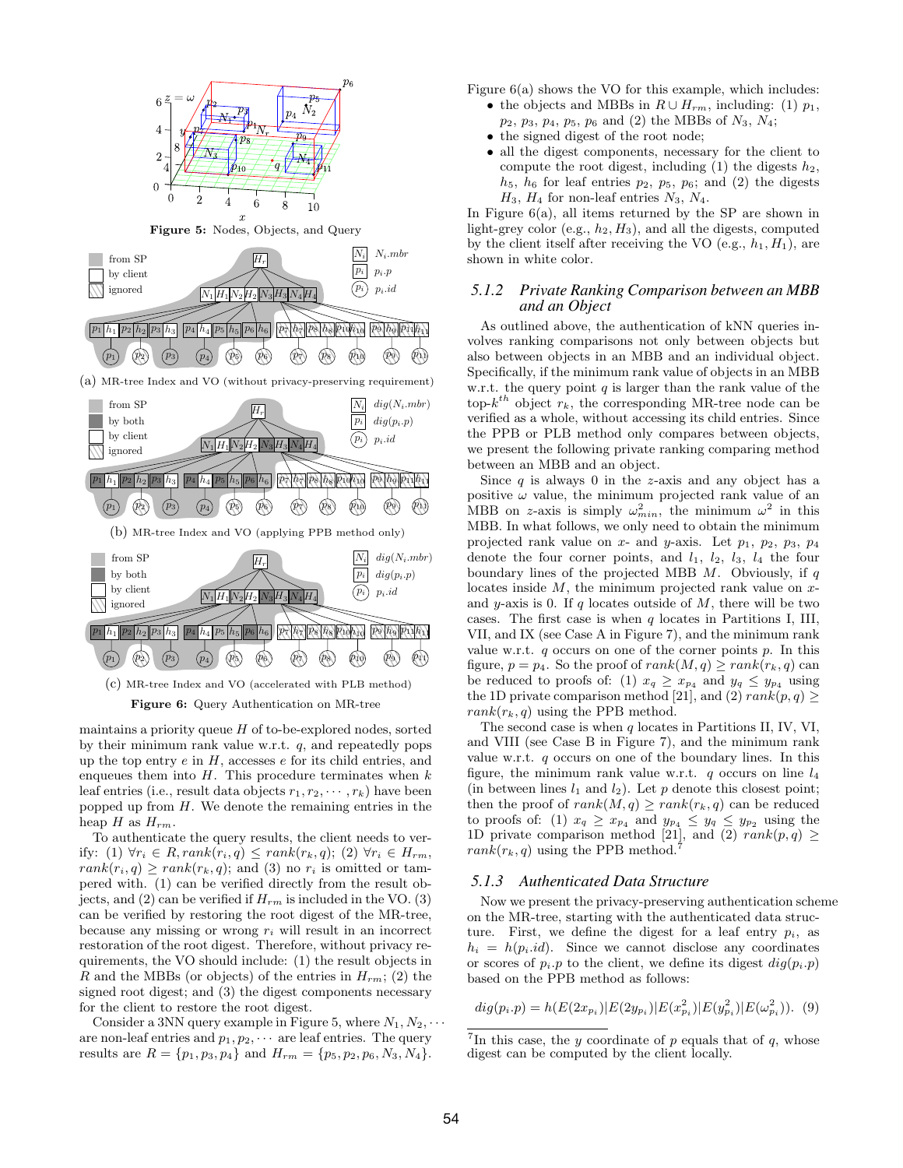

maintains a priority queue  $H$  of to-be-explored nodes, sorted by their minimum rank value w.r.t. q, and repeatedly pops up the top entry  $e$  in  $H$ , accesses  $e$  for its child entries, and enqueues them into  $H$ . This procedure terminates when  $k$ leaf entries (i.e., result data objects  $r_1, r_2, \cdots, r_k$ ) have been popped up from  $H$ . We denote the remaining entries in the heap  $H$  as  $H_{rm}$ .

To authenticate the query results, the client needs to verify: (1)  $\forall r_i \in R, rank(r_i, q) \leq rank(r_k, q)$ ; (2)  $\forall r_i \in H_{rm}$ ,  $rank(r_i, q) \geq rank(r_k, q)$ ; and (3) no  $r_i$  is omitted or tampered with. (1) can be verified directly from the result objects, and (2) can be verified if  $H_{rm}$  is included in the VO. (3) can be verified by restoring the root digest of the MR-tree, because any missing or wrong  $r_i$  will result in an incorrect restoration of the root digest. Therefore, without privacy requirements, the VO should include: (1) the result objects in R and the MBBs (or objects) of the entries in  $H_{rm}$ ; (2) the signed root digest; and (3) the digest components necessary for the client to restore the root digest.

Consider a 3NN query example in Figure 5, where  $N_1, N_2, \cdots$ are non-leaf entries and  $p_1, p_2, \cdots$  are leaf entries. The query results are  $R = \{p_1, p_3, p_4\}$  and  $H_{rm} = \{p_5, p_2, p_6, N_3, N_4\}.$ 

Figure 6(a) shows the VO for this example, which includes:

- the objects and MBBs in  $R \cup H_{rm}$ , including: (1)  $p_1$ ,  $p_2, p_3, p_4, p_5, p_6 \text{ and } (2) \text{ the MBBs of } N_3, N_4;$
- the signed digest of the root node;
- all the digest components, necessary for the client to compute the root digest, including  $(1)$  the digests  $h_2$ ,  $h_5$ ,  $h_6$  for leaf entries  $p_2$ ,  $p_5$ ,  $p_6$ ; and (2) the digests  $H_3$ ,  $H_4$  for non-leaf entries  $N_3$ ,  $N_4$ .

In Figure 6(a), all items returned by the SP are shown in light-grey color (e.g.,  $h_2$ ,  $H_3$ ), and all the digests, computed by the client itself after receiving the VO (e.g.,  $h_1, H_1$ ), are shown in white color.

#### *5.1.2 Private Ranking Comparison between an MBB and an Object*

As outlined above, the authentication of kNN queries involves ranking comparisons not only between objects but also between objects in an MBB and an individual object. Specifically, if the minimum rank value of objects in an MBB w.r.t. the query point  $q$  is larger than the rank value of the top- $k^{th}$  object  $r_k$ , the corresponding MR-tree node can be verified as a whole, without accessing its child entries. Since the PPB or PLB method only compares between objects, we present the following private ranking comparing method between an MBB and an object.

Since  $q$  is always 0 in the z-axis and any object has a positive  $\omega$  value, the minimum projected rank value of an MBB on z-axis is simply  $\omega_{min}^2$ , the minimum  $\omega^2$  in this MBB. In what follows, we only need to obtain the minimum projected rank value on  $x$ - and  $y$ -axis. Let  $p_1$ ,  $p_2$ ,  $p_3$ ,  $p_4$ denote the four corner points, and  $l_1$ ,  $l_2$ ,  $l_3$ ,  $l_4$  the four boundary lines of the projected MBB  $M$ . Obviously, if q locates inside  $M$ , the minimum projected rank value on  $x$ and y-axis is 0. If q locates outside of  $M$ , there will be two cases. The first case is when  $q$  locates in Partitions I, III, VII, and IX (see Case A in Figure 7), and the minimum rank value w.r.t.  $q$  occurs on one of the corner points  $p$ . In this figure,  $p = p_4$ . So the proof of  $rank(M, q) \geq rank(r_k, q)$  can be reduced to proofs of: (1)  $x_q \ge x_{p_4}$  and  $y_q \le y_{p_4}$  using the 1D private comparison method [21], and (2)  $rank(p, q) \ge$  $rank(r_k, q)$  using the PPB method.

The second case is when  $q$  locates in Partitions II, IV, VI, and VIII (see Case B in Figure 7), and the minimum rank value w.r.t. q occurs on one of the boundary lines. In this figure, the minimum rank value w.r.t. q occurs on line  $l_4$ (in between lines  $l_1$  and  $l_2$ ). Let p denote this closest point; then the proof of  $rank(M, q) \geq rank(r_k, q)$  can be reduced to proofs of: (1)  $x_q \geq x_{p_4}$  and  $y_{p_4} \leq y_q \leq y_{p_2}$  using the 1D private comparison method [21], and (2)  $rank(p, q) \geq$  $rank(r_k, q)$  using the PPB method.

#### *5.1.3 Authenticated Data Structure*

Now we present the privacy-preserving authentication scheme on the MR-tree, starting with the authenticated data structure. First, we define the digest for a leaf entry  $p_i$ , as  $h_i = h(p_i.id)$ . Since we cannot disclose any coordinates or scores of  $p_i \cdot p$  to the client, we define its digest  $dig(p_i \cdot p)$ based on the PPB method as follows:

 $dig(p_i.p) = h(E(2x_{p_i})|E(2y_{p_i})|E(x_{p_i}^2)|E(y_{p_i}^2)|E(\omega_{p_i}^2)).$  (9)

<sup>&</sup>lt;sup>7</sup>In this case, the y coordinate of p equals that of q, whose digest can be computed by the client locally.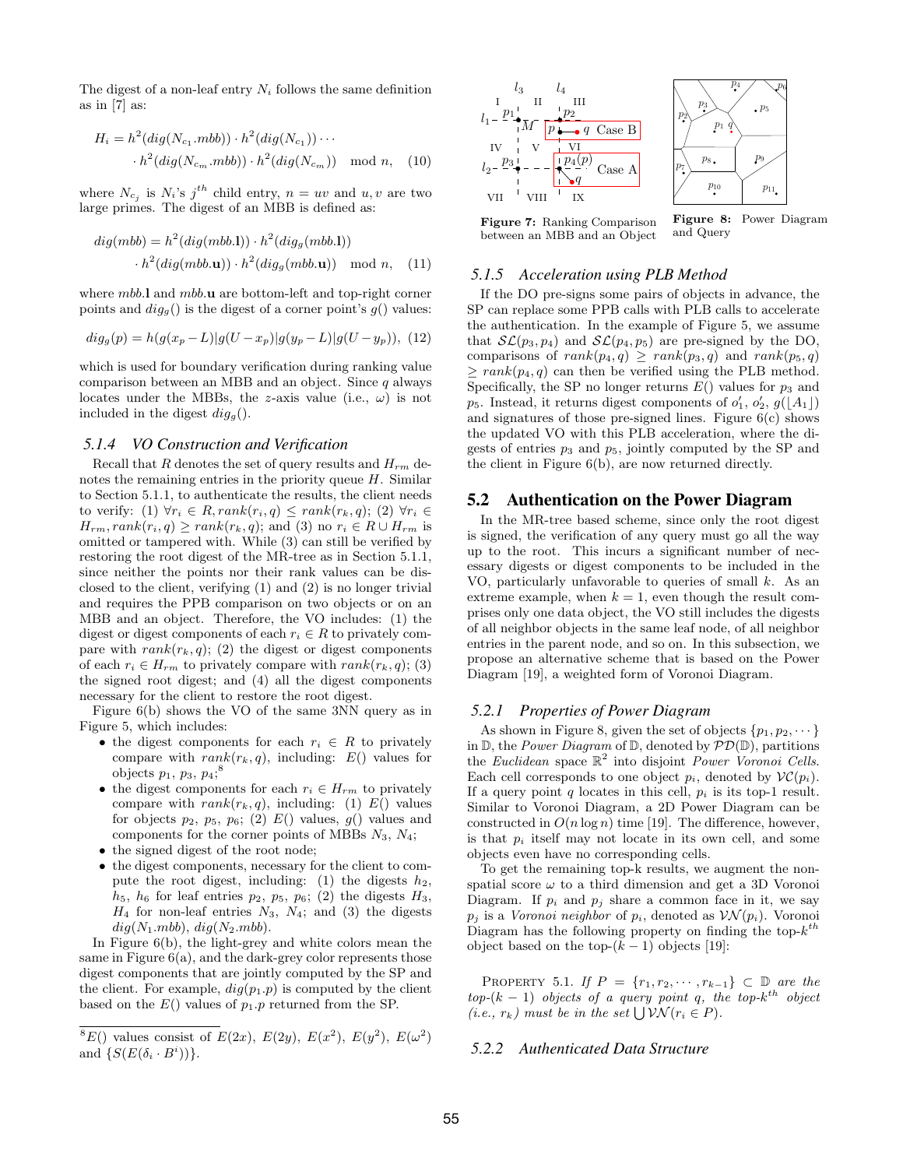The digest of a non-leaf entry  $N_i$  follows the same definition as in [7] as:

$$
H_i = h^2(dig(N_{c_1}.mbb)) \cdot h^2(dig(N_{c_1})) \cdots
$$

$$
\cdot h^2(dig(N_{c_m}.mbb)) \cdot h^2(dig(N_{c_m})) \mod n, \quad (10)
$$

where  $N_{c_j}$  is  $N_i$ 's  $j^{th}$  child entry,  $n = uv$  and  $u, v$  are two large primes. The digest of an MBB is defined as:

$$
dig(mbb) = h2(dig(mbb.1)) \cdot h2(dig(mbb.1))
$$

$$
\cdot h2(dig(mbb.1)) \cdot h2(dig(mbb.1)) \mod n, \quad (11)
$$

where mbb.l and mbb.u are bottom-left and top-right corner points and  $dig_q()$  is the digest of a corner point's  $g()$  values:

$$
dig_g(p) = h(g(x_p - L)|g(U - x_p)|g(y_p - L)|g(U - y_p)), (12)
$$

which is used for boundary verification during ranking value comparison between an MBB and an object. Since  $q$  always locates under the MBBs, the z-axis value (i.e.,  $\omega$ ) is not included in the digest  $dig_{g}$ .

# *5.1.4 VO Construction and Verification*

Recall that R denotes the set of query results and  $H_{rm}$  denotes the remaining entries in the priority queue  $H$ . Similar to Section 5.1.1, to authenticate the results, the client needs to verify: (1)  $\forall r_i \in R, rank(r_i, q) \leq rank(r_k, q)$ ; (2)  $\forall r_i \in$  $H_{rm}, rank(r_i, q) \geq rank(r_k, q)$ ; and (3) no  $r_i \in R \cup H_{rm}$  is omitted or tampered with. While (3) can still be verified by restoring the root digest of the MR-tree as in Section 5.1.1, since neither the points nor their rank values can be disclosed to the client, verifying (1) and (2) is no longer trivial and requires the PPB comparison on two objects or on an MBB and an object. Therefore, the VO includes: (1) the digest or digest components of each  $r_i \in R$  to privately compare with  $rank(r_k, q)$ ; (2) the digest or digest components of each  $r_i \in H_{rm}$  to privately compare with  $rank(r_k, q)$ ; (3) the signed root digest; and (4) all the digest components necessary for the client to restore the root digest.

Figure 6(b) shows the VO of the same 3NN query as in Figure 5, which includes:

- the digest components for each  $r_i \in R$  to privately compare with  $rank(r_k, q)$ , including:  $E()$  values for  $\frac{\text{objects } p_1, p_3, p_4; ^8}{\text{b}}$
- the digest components for each  $r_i \in H_{rm}$  to privately compare with  $rank(r_k, q)$ , including: (1)  $E()$  values for objects  $p_2$ ,  $p_5$ ,  $p_6$ ; (2)  $E()$  values,  $g()$  values and components for the corner points of MBBs  $N_3$ ,  $N_4$ ;
- the signed digest of the root node;
- the digest components, necessary for the client to compute the root digest, including: (1) the digests  $h_2$ ,  $h_5$ ,  $h_6$  for leaf entries  $p_2$ ,  $p_5$ ,  $p_6$ ; (2) the digests  $H_3$ ,  $H_4$  for non-leaf entries  $N_3$ ,  $N_4$ ; and (3) the digests  $diq(N_1.mbb), diq(N_2.mbb).$

In Figure 6(b), the light-grey and white colors mean the same in Figure  $6(a)$ , and the dark-grey color represents those digest components that are jointly computed by the SP and the client. For example,  $dig(p_1,p)$  is computed by the client based on the  $E()$  values of  $p_1.p$  returned from the SP.



Figure 7: Ranking Comparison between an MBB and an Object

Figure 8: Power Diagram and Query

 $p_{5}$ 

 $p_9$ 

## *5.1.5 Acceleration using PLB Method*

If the DO pre-signs some pairs of objects in advance, the SP can replace some PPB calls with PLB calls to accelerate the authentication. In the example of Figure 5, we assume that  $\mathcal{SL}(p_3, p_4)$  and  $\mathcal{SL}(p_4, p_5)$  are pre-signed by the DO, comparisons of  $rank(p_4, q) \geq rank(p_3, q)$  and  $rank(p_5, q)$  $\geq$  rank(p<sub>4</sub>, q) can then be verified using the PLB method. Specifically, the SP no longer returns  $E()$  values for  $p_3$  and  $p_5$ . Instead, it returns digest components of  $o'_1$ ,  $o'_2$ ,  $g([A_1])$ and signatures of those pre-signed lines. Figure 6(c) shows the updated VO with this PLB acceleration, where the digests of entries  $p_3$  and  $p_5$ , jointly computed by the SP and the client in Figure 6(b), are now returned directly.

#### 5.2 Authentication on the Power Diagram

In the MR-tree based scheme, since only the root digest is signed, the verification of any query must go all the way up to the root. This incurs a significant number of necessary digests or digest components to be included in the VO, particularly unfavorable to queries of small  $k$ . As an extreme example, when  $k = 1$ , even though the result comprises only one data object, the VO still includes the digests of all neighbor objects in the same leaf node, of all neighbor entries in the parent node, and so on. In this subsection, we propose an alternative scheme that is based on the Power Diagram [19], a weighted form of Voronoi Diagram.

#### *5.2.1 Properties of Power Diagram*

As shown in Figure 8, given the set of objects  $\{p_1, p_2, \dots\}$ in  $\mathbb{D}$ , the *Power Diagram* of  $\mathbb{D}$ , denoted by  $\mathcal{PD}(\mathbb{D})$ , partitions the Euclidean space  $\mathbb{R}^2$  into disjoint Power Voronoi Cells. Each cell corresponds to one object  $p_i$ , denoted by  $\mathcal{VC}(p_i)$ . If a query point q locates in this cell,  $p_i$  is its top-1 result. Similar to Voronoi Diagram, a 2D Power Diagram can be constructed in  $O(n \log n)$  time [19]. The difference, however, is that  $p_i$  itself may not locate in its own cell, and some objects even have no corresponding cells.

To get the remaining top-k results, we augment the nonspatial score  $\omega$  to a third dimension and get a 3D Voronoi Diagram. If  $p_i$  and  $p_j$  share a common face in it, we say  $p_j$  is a Voronoi neighbor of  $p_i$ , denoted as  $\mathcal{VN}(p_i)$ . Voronoi Diagram has the following property on finding the top- $k^{th}$ object based on the top- $(k-1)$  objects [19]:

PROPERTY 5.1. If  $P = \{r_1, r_2, \cdots, r_{k-1}\} \subset \mathbb{D}$  are the  $top-(k-1)$  objects of a query point q, the top- $k^{th}$  object (i.e.,  $r_k$ ) must be in the set  $\bigcup \mathcal{VN}(r_i \in P)$ .

#### *5.2.2 Authenticated Data Structure*

 $E(S^8E()$  values consist of  $E(2x)$ ,  $E(2y)$ ,  $E(x^2)$ ,  $E(y^2)$ ,  $E(\omega^2)$ and  $\{S(E(\delta_i \cdot B^i))\}.$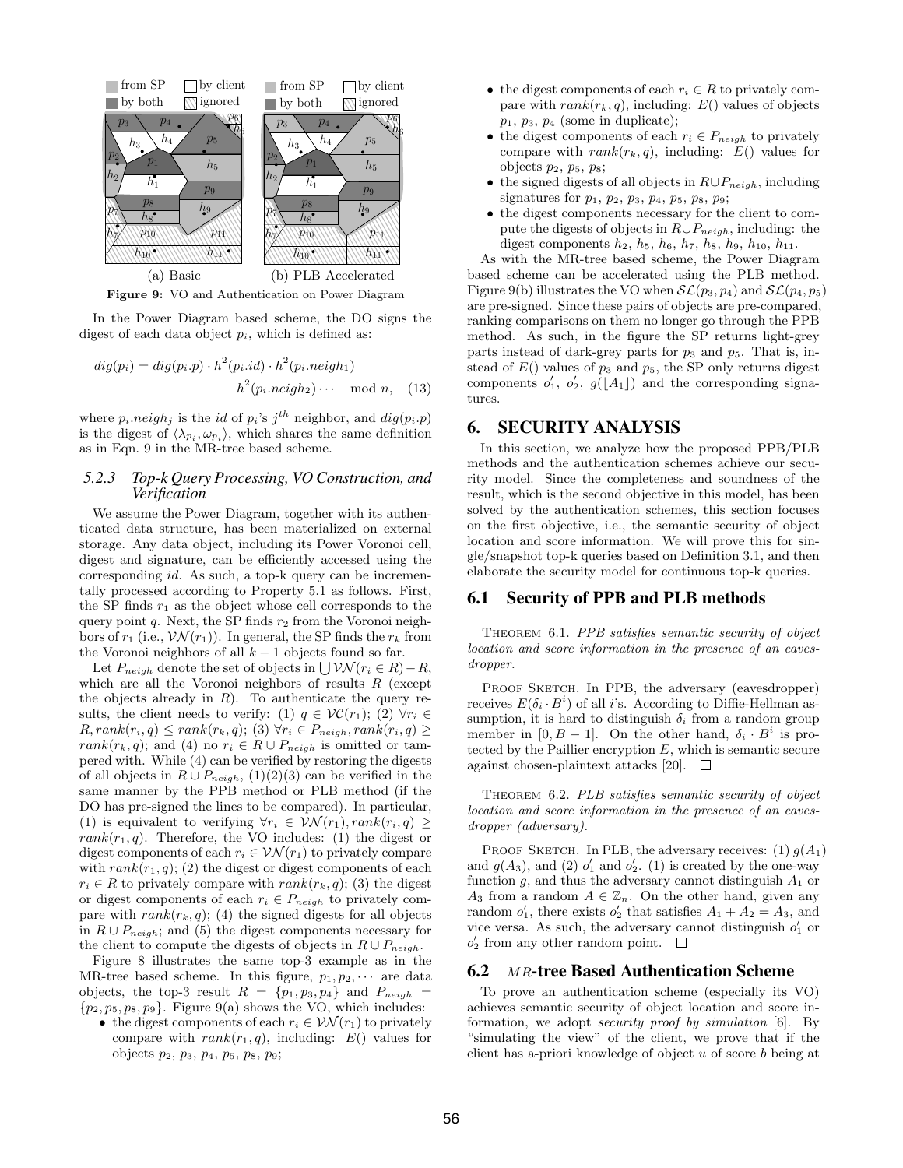

Figure 9: VO and Authentication on Power Diagram

In the Power Diagram based scheme, the DO signs the digest of each data object  $p_i$ , which is defined as:

$$
dig(p_i) = dig(p_i \cdot p) \cdot h^2(p_i \cdot id) \cdot h^2(p_i \cdot neigh_1)
$$
  

$$
h^2(p_i \cdot neigh_2) \cdots \mod n, \quad (13)
$$

where  $p_i \cdot \text{neigh}_j$  is the *id* of  $p_i$ 's  $j^{th}$  neighbor, and  $\text{dig}(p_i \cdot p)$ is the digest of  $\langle \lambda_{p_i}, \omega_{p_i} \rangle$ , which shares the same definition as in Eqn. 9 in the MR-tree based scheme.

# *5.2.3 Top-k Query Processing, VO Construction, and Verification*

We assume the Power Diagram, together with its authenticated data structure, has been materialized on external storage. Any data object, including its Power Voronoi cell, digest and signature, can be efficiently accessed using the corresponding id. As such, a top-k query can be incrementally processed according to Property 5.1 as follows. First, the SP finds  $r_1$  as the object whose cell corresponds to the query point  $q$ . Next, the SP finds  $r_2$  from the Voronoi neighbors of  $r_1$  (i.e.,  $\mathcal{VN}(r_1)$ ). In general, the SP finds the  $r_k$  from the Voronoi neighbors of all  $k - 1$  objects found so far.

Let  $P_{neigh}$  denote the set of objects in  $\bigcup \mathcal{VN}(r_i \in R) - R$ , which are all the Voronoi neighbors of results  $R$  (except the objects already in  $R$ ). To authenticate the query results, the client needs to verify: (1)  $q \in \mathcal{VC}(r_1)$ ; (2)  $\forall r_i \in$  $R, rank(r_i, q) \leq rank(r_k, q);$  (3)  $\forall r_i \in P_{neigh}, rank(r_i, q) \geq$ rank $(r_k, q)$ ; and (4) no  $r_i \in R \cup P_{neigh}$  is omitted or tampered with. While (4) can be verified by restoring the digests of all objects in  $R \cup P_{neigh}$ , (1)(2)(3) can be verified in the same manner by the PPB method or PLB method (if the DO has pre-signed the lines to be compared). In particular, (1) is equivalent to verifying  $\forall r_i \in \mathcal{VN}(r_1), rank(r_i, q) \geq$  $rank(r_1, q)$ . Therefore, the VO includes: (1) the digest or digest components of each  $r_i \in \mathcal{VN}(r_1)$  to privately compare with  $rank(r_1, q)$ ; (2) the digest or digest components of each  $r_i \in R$  to privately compare with  $rank(r_k, q)$ ; (3) the digest or digest components of each  $r_i \in P_{neigh}$  to privately compare with  $rank(r_k, q)$ ; (4) the signed digests for all objects in  $R \cup P_{neigh}$ ; and (5) the digest components necessary for the client to compute the digests of objects in  $R \cup P_{neich}$ .

Figure 8 illustrates the same top-3 example as in the MR-tree based scheme. In this figure,  $p_1, p_2, \cdots$  are data objects, the top-3 result  $R = \{p_1, p_3, p_4\}$  and  $P_{neigh}$  $\{p_2, p_5, p_8, p_9\}$ . Figure 9(a) shows the VO, which includes:

• the digest components of each  $r_i \in \mathcal{VN}(r_1)$  to privately compare with  $rank(r_1, q)$ , including:  $E()$  values for objects  $p_2, p_3, p_4, p_5, p_8, p_9;$ 

- the digest components of each  $r_i \in R$  to privately compare with  $rank(r_k, q)$ , including:  $E()$  values of objects  $p_1, p_3, p_4$  (some in duplicate);
- the digest components of each  $r_i \in P_{neigh}$  to privately compare with  $rank(r_k, q)$ , including:  $E()$  values for objects  $p_2$ ,  $p_5$ ,  $p_8$ ;
- the signed digests of all objects in  $R \cup P_{neich}$ , including signatures for  $p_1, p_2, p_3, p_4, p_5, p_8, p_9;$
- the digest components necessary for the client to compute the digests of objects in  $R \cup P_{neigh}$ , including: the digest components  $h_2$ ,  $h_5$ ,  $h_6$ ,  $h_7$ ,  $h_8$ ,  $h_9$ ,  $h_{10}$ ,  $h_{11}$ .

As with the MR-tree based scheme, the Power Diagram based scheme can be accelerated using the PLB method. Figure 9(b) illustrates the VO when  $\mathcal{SL}(p_3, p_4)$  and  $\mathcal{SL}(p_4, p_5)$ are pre-signed. Since these pairs of objects are pre-compared, ranking comparisons on them no longer go through the PPB method. As such, in the figure the SP returns light-grey parts instead of dark-grey parts for  $p_3$  and  $p_5$ . That is, instead of  $E()$  values of  $p_3$  and  $p_5$ , the SP only returns digest components  $o'_1$ ,  $o'_2$ ,  $g([A_1])$  and the corresponding signatures.

## 6. SECURITY ANALYSIS

In this section, we analyze how the proposed PPB/PLB methods and the authentication schemes achieve our security model. Since the completeness and soundness of the result, which is the second objective in this model, has been solved by the authentication schemes, this section focuses on the first objective, i.e., the semantic security of object location and score information. We will prove this for single/snapshot top-k queries based on Definition 3.1, and then elaborate the security model for continuous top-k queries.

# 6.1 Security of PPB and PLB methods

THEOREM 6.1. PPB satisfies semantic security of object location and score information in the presence of an eavesdropper.

PROOF SKETCH. In PPB, the adversary (eavesdropper) receives  $E(\delta_i \cdot B^i)$  of all *i*'s. According to Diffie-Hellman assumption, it is hard to distinguish  $\delta_i$  from a random group member in [0, B – 1]. On the other hand,  $\delta_i \cdot B^i$  is protected by the Paillier encryption  $E$ , which is semantic secure against chosen-plaintext attacks [20].  $\Box$ 

THEOREM 6.2. PLB satisfies semantic security of object location and score information in the presence of an eavesdropper (adversary).

PROOF SKETCH. In PLB, the adversary receives: (1)  $g(A_1)$ and  $g(A_3)$ , and (2)  $o'_1$  and  $o'_2$ . (1) is created by the one-way function  $g$ , and thus the adversary cannot distinguish  $A_1$  or A<sub>3</sub> from a random  $A \in \mathbb{Z}_n$ . On the other hand, given any random  $o'_1$ , there exists  $o'_2$  that satisfies  $A_1 + A_2 = A_3$ , and vice versa. As such, the adversary cannot distinguish  $o'_1$  or  $o'_2$  from any other random point.

#### 6.2 MR-tree Based Authentication Scheme

To prove an authentication scheme (especially its VO) achieves semantic security of object location and score information, we adopt security proof by simulation [6]. By "simulating the view" of the client, we prove that if the client has a-priori knowledge of object  $u$  of score  $b$  being at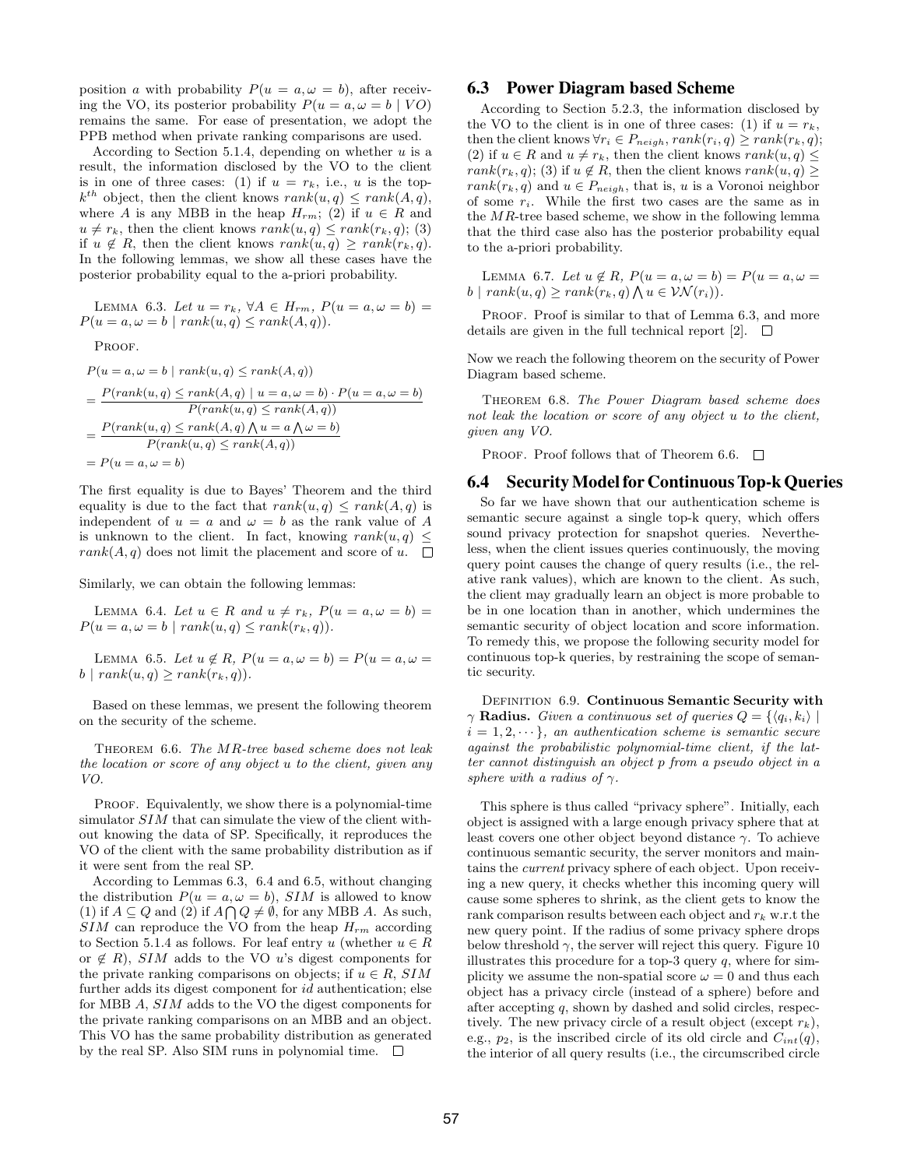position a with probability  $P(u = a, \omega = b)$ , after receiving the VO, its posterior probability  $P(u = a, \omega = b \mid VO)$ remains the same. For ease of presentation, we adopt the PPB method when private ranking comparisons are used.

According to Section 5.1.4, depending on whether  $u$  is a result, the information disclosed by the VO to the client is in one of three cases: (1) if  $u = r_k$ , i.e., u is the top $k^{th}$  object, then the client knows  $rank(u, q) \leq rank(A, q)$ , where A is any MBB in the heap  $H_{rm}$ ; (2) if  $u \in R$  and  $u \neq r_k$ , then the client knows  $rank(u, q) \leq rank(r_k, q)$ ; (3) if  $u \notin R$ , then the client knows  $rank(u, q) \geq rank(r_k, q)$ . In the following lemmas, we show all these cases have the posterior probability equal to the a-priori probability.

LEMMA 6.3. Let  $u = r_k$ ,  $\forall A \in H_{rm}$ ,  $P(u = a, \omega = b)$  $P(u = a, \omega = b \mid rank(u, q) \le rank(A, q)).$ 

PROOF.

$$
P(u = a, \omega = b \mid rank(u, q) \le rank(A, q))
$$
  
= 
$$
\frac{P(rank(u, q) \le rank(A, q) \mid u = a, \omega = b) \cdot P(u = a, \omega = b)}{P(rank(u, q) \le rank(A, q))}
$$
  
= 
$$
\frac{P(rank(u, q) \le rank(A, q) \land u = a \land \omega = b)}{P(rank(u, q) \le rank(A, q))}
$$
  
= 
$$
P(u = a, \omega = b)
$$

The first equality is due to Bayes' Theorem and the third equality is due to the fact that  $rank(u, q) \leq rank(A, q)$  is independent of  $u = a$  and  $\omega = b$  as the rank value of A is unknown to the client. In fact, knowing  $rank(u, q) \leq$  $rank(A, q)$  does not limit the placement and score of u.  $\square$ 

Similarly, we can obtain the following lemmas:

LEMMA 6.4. Let  $u \in R$  and  $u \neq r_k$ ,  $P(u = a, \omega = b) =$  $P(u = a, \omega = b \mid rank(u, q) \le rank(r_k, q)).$ 

LEMMA 6.5. Let  $u \notin R$ ,  $P(u = a, \omega = b) = P(u = a, \omega = b)$  $b \mid rank(u, q) \ge rank(r_k, q)$ .

Based on these lemmas, we present the following theorem on the security of the scheme.

THEOREM 6.6. The MR-tree based scheme does not leak the location or score of any object u to the client, given any VO.

PROOF. Equivalently, we show there is a polynomial-time simulator  $SIM$  that can simulate the view of the client without knowing the data of SP. Specifically, it reproduces the VO of the client with the same probability distribution as if it were sent from the real SP.

According to Lemmas 6.3, 6.4 and 6.5, without changing the distribution  $P(u = a, \omega = b)$ , SIM is allowed to know (1) if  $A \subseteq Q$  and (2) if  $A \cap Q \neq \emptyset$ , for any MBB A. As such,  $SIM$  can reproduce the VO from the heap  $H_{rm}$  according to Section 5.1.4 as follows. For leaf entry u (whether  $u \in R$ or  $\notin$  R), SIM adds to the VO u's digest components for the private ranking comparisons on objects; if  $u \in R$ , SIM further adds its digest component for *id* authentication; else for MBB A, SIM adds to the VO the digest components for the private ranking comparisons on an MBB and an object. This VO has the same probability distribution as generated by the real SP. Also SIM runs in polynomial time.  $\square$ 

# 6.3 Power Diagram based Scheme

According to Section 5.2.3, the information disclosed by the VO to the client is in one of three cases: (1) if  $u = r_k$ , then the client knows  $\forall r_i \in P_{neigh}, rank(r_i, q) \geq rank(r_k, q);$ (2) if  $u \in R$  and  $u \neq r_k$ , then the client knows  $rank(u, q) \leq$  $rank(r_k, q)$ ; (3) if  $u \notin R$ , then the client knows  $rank(u, q) \geq$  $rank(r_k, q)$  and  $u \in P_{neigh}$ , that is, u is a Voronoi neighbor of some  $r_i$ . While the first two cases are the same as in the  $MR$ -tree based scheme, we show in the following lemma that the third case also has the posterior probability equal to the a-priori probability.

LEMMA 6.7. Let  $u \notin R$ ,  $P(u = a, \omega = b) = P(u = a, \omega = b)$  $b \mid rank(u, q) \ge rank(r_k, q) \bigwedge u \in \mathcal{VN}(r_i)).$ 

PROOF. Proof is similar to that of Lemma 6.3, and more details are given in the full technical report [2].  $\Box$ 

Now we reach the following theorem on the security of Power Diagram based scheme.

Theorem 6.8. The Power Diagram based scheme does not leak the location or score of any object u to the client, given any VO.

PROOF. Proof follows that of Theorem 6.6.  $\Box$ 

#### 6.4 SecurityModel for Continuous Top-k Queries

So far we have shown that our authentication scheme is semantic secure against a single top-k query, which offers sound privacy protection for snapshot queries. Nevertheless, when the client issues queries continuously, the moving query point causes the change of query results (i.e., the relative rank values), which are known to the client. As such, the client may gradually learn an object is more probable to be in one location than in another, which undermines the semantic security of object location and score information. To remedy this, we propose the following security model for continuous top-k queries, by restraining the scope of semantic security.

DEFINITION 6.9. Continuous Semantic Security with  $\gamma$  Radius. Given a continuous set of queries  $Q = \{ \langle q_i, k_i \rangle \mid$  $i = 1, 2, \dots$ , an authentication scheme is semantic secure against the probabilistic polynomial-time client, if the latter cannot distinguish an object p from a pseudo object in a sphere with a radius of  $\gamma$ .

This sphere is thus called "privacy sphere". Initially, each object is assigned with a large enough privacy sphere that at least covers one other object beyond distance  $\gamma$ . To achieve continuous semantic security, the server monitors and maintains the current privacy sphere of each object. Upon receiving a new query, it checks whether this incoming query will cause some spheres to shrink, as the client gets to know the rank comparison results between each object and  $r_k$  w.r.t the new query point. If the radius of some privacy sphere drops below threshold  $\gamma$ , the server will reject this query. Figure 10 illustrates this procedure for a top-3 query  $q$ , where for simplicity we assume the non-spatial score  $\omega = 0$  and thus each object has a privacy circle (instead of a sphere) before and after accepting q, shown by dashed and solid circles, respectively. The new privacy circle of a result object (except  $r_k$ ), e.g.,  $p_2$ , is the inscribed circle of its old circle and  $C_{int}(q)$ , the interior of all query results (i.e., the circumscribed circle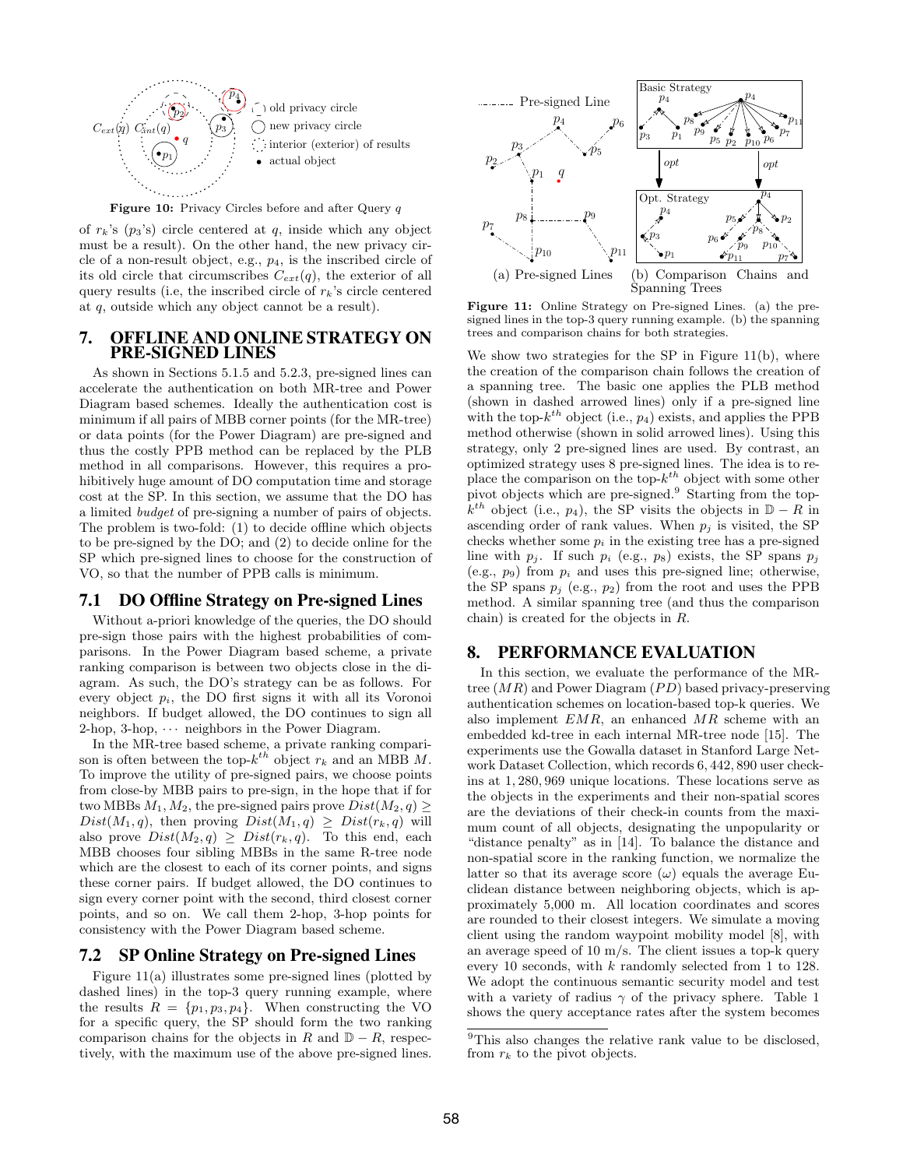

Figure 10: Privacy Circles before and after Query q

of  $r_k$ 's  $(p_3$ 's) circle centered at q, inside which any object must be a result). On the other hand, the new privacy circle of a non-result object, e.g.,  $p_4$ , is the inscribed circle of its old circle that circumscribes  $C_{ext}(q)$ , the exterior of all query results (i.e, the inscribed circle of  $r_k$ 's circle centered at q, outside which any object cannot be a result).

# 7. OFFLINE AND ONLINE STRATEGY ON PRE-SIGNED LINES

As shown in Sections 5.1.5 and 5.2.3, pre-signed lines can accelerate the authentication on both MR-tree and Power Diagram based schemes. Ideally the authentication cost is minimum if all pairs of MBB corner points (for the MR-tree) or data points (for the Power Diagram) are pre-signed and thus the costly PPB method can be replaced by the PLB method in all comparisons. However, this requires a prohibitively huge amount of DO computation time and storage cost at the SP. In this section, we assume that the DO has a limited budget of pre-signing a number of pairs of objects. The problem is two-fold: (1) to decide offline which objects to be pre-signed by the DO; and (2) to decide online for the SP which pre-signed lines to choose for the construction of VO, so that the number of PPB calls is minimum.

# 7.1 DO Offline Strategy on Pre-signed Lines

Without a-priori knowledge of the queries, the DO should pre-sign those pairs with the highest probabilities of comparisons. In the Power Diagram based scheme, a private ranking comparison is between two objects close in the diagram. As such, the DO's strategy can be as follows. For every object  $p_i$ , the DO first signs it with all its Voronoi neighbors. If budget allowed, the DO continues to sign all 2-hop, 3-hop,  $\cdots$  neighbors in the Power Diagram.

In the MR-tree based scheme, a private ranking comparison is often between the top- $k^{th}$  object  $r_k$  and an MBB M. To improve the utility of pre-signed pairs, we choose points from close-by MBB pairs to pre-sign, in the hope that if for two MBBs  $M_1, M_2$ , the pre-signed pairs prove  $Dist(M_2, q) \geq$  $Dist(M_1, q)$ , then proving  $Dist(M_1, q) \ge Dist(r_k, q)$  will also prove  $Dist(M_2, q) \ge Dist(r_k, q)$ . To this end, each MBB chooses four sibling MBBs in the same R-tree node which are the closest to each of its corner points, and signs these corner pairs. If budget allowed, the DO continues to sign every corner point with the second, third closest corner points, and so on. We call them 2-hop, 3-hop points for consistency with the Power Diagram based scheme.

# 7.2 SP Online Strategy on Pre-signed Lines

Figure 11(a) illustrates some pre-signed lines (plotted by dashed lines) in the top-3 query running example, where the results  $R = \{p_1, p_3, p_4\}$ . When constructing the VO for a specific query, the SP should form the two ranking comparison chains for the objects in R and  $D - R$ , respectively, with the maximum use of the above pre-signed lines.



Figure 11: Online Strategy on Pre-signed Lines. (a) the presigned lines in the top-3 query running example. (b) the spanning trees and comparison chains for both strategies.

We show two strategies for the SP in Figure 11(b), where the creation of the comparison chain follows the creation of a spanning tree. The basic one applies the PLB method (shown in dashed arrowed lines) only if a pre-signed line with the top- $k^{th}$  object (i.e.,  $p_4$ ) exists, and applies the PPB method otherwise (shown in solid arrowed lines). Using this strategy, only 2 pre-signed lines are used. By contrast, an optimized strategy uses 8 pre-signed lines. The idea is to replace the comparison on the top- $k^{th}$  object with some other pivot objects which are pre-signed.<sup>9</sup> Starting from the top- $\hat{k}^{th}$  object (i.e.,  $p_4$ ), the SP visits the objects in  $\mathbb{D} - R$  in ascending order of rank values. When  $p_i$  is visited, the SP checks whether some  $p_i$  in the existing tree has a pre-signed line with  $p_j$ . If such  $p_i$  (e.g.,  $p_8$ ) exists, the SP spans  $p_j$ (e.g.,  $p_9$ ) from  $p_i$  and uses this pre-signed line; otherwise, the SP spans  $p_i$  (e.g.,  $p_2$ ) from the root and uses the PPB method. A similar spanning tree (and thus the comparison chain) is created for the objects in R.

# 8. PERFORMANCE EVALUATION

In this section, we evaluate the performance of the MRtree  $(MR)$  and Power Diagram  $(PD)$  based privacy-preserving authentication schemes on location-based top-k queries. We also implement EMR, an enhanced MR scheme with an embedded kd-tree in each internal MR-tree node [15]. The experiments use the Gowalla dataset in Stanford Large Network Dataset Collection, which records 6, 442, 890 user checkins at 1, 280, 969 unique locations. These locations serve as the objects in the experiments and their non-spatial scores are the deviations of their check-in counts from the maximum count of all objects, designating the unpopularity or "distance penalty" as in [14]. To balance the distance and non-spatial score in the ranking function, we normalize the latter so that its average score  $(\omega)$  equals the average Euclidean distance between neighboring objects, which is approximately 5,000 m. All location coordinates and scores are rounded to their closest integers. We simulate a moving client using the random waypoint mobility model [8], with an average speed of 10  $\text{m/s}$ . The client issues a top-k query every 10 seconds, with k randomly selected from 1 to 128. We adopt the continuous semantic security model and test with a variety of radius  $\gamma$  of the privacy sphere. Table 1 shows the query acceptance rates after the system becomes

<sup>9</sup>This also changes the relative rank value to be disclosed, from  $r_k$  to the pivot objects.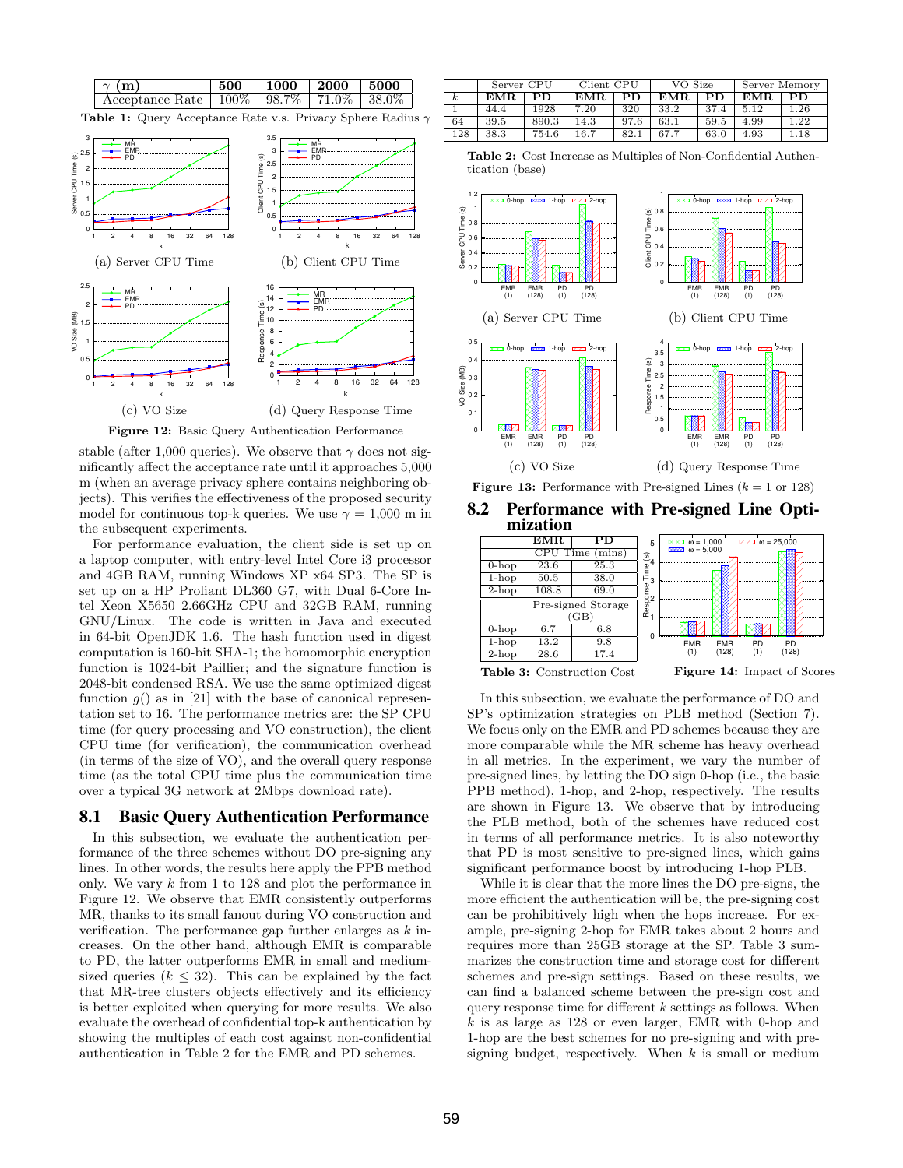

stable (after 1,000 queries). We observe that  $\gamma$  does not significantly affect the acceptance rate until it approaches 5,000 m (when an average privacy sphere contains neighboring objects). This verifies the effectiveness of the proposed security model for continuous top-k queries. We use  $\gamma = 1,000$  m in the subsequent experiments.

For performance evaluation, the client side is set up on a laptop computer, with entry-level Intel Core i3 processor and 4GB RAM, running Windows XP x64 SP3. The SP is set up on a HP Proliant DL360 G7, with Dual 6-Core Intel Xeon X5650 2.66GHz CPU and 32GB RAM, running GNU/Linux. The code is written in Java and executed in 64-bit OpenJDK 1.6. The hash function used in digest computation is 160-bit SHA-1; the homomorphic encryption function is 1024-bit Paillier; and the signature function is 2048-bit condensed RSA. We use the same optimized digest function  $g()$  as in [21] with the base of canonical representation set to 16. The performance metrics are: the SP CPU time (for query processing and VO construction), the client CPU time (for verification), the communication overhead (in terms of the size of VO), and the overall query response time (as the total CPU time plus the communication time over a typical 3G network at 2Mbps download rate).

# 8.1 Basic Query Authentication Performance

In this subsection, we evaluate the authentication performance of the three schemes without DO pre-signing any lines. In other words, the results here apply the PPB method only. We vary k from 1 to 128 and plot the performance in Figure 12. We observe that EMR consistently outperforms MR, thanks to its small fanout during VO construction and verification. The performance gap further enlarges as  $k$  increases. On the other hand, although EMR is comparable to PD, the latter outperforms EMR in small and mediumsized queries ( $k \leq 32$ ). This can be explained by the fact that MR-tree clusters objects effectively and its efficiency is better exploited when querying for more results. We also evaluate the overhead of confidential top-k authentication by showing the multiples of each cost against non-confidential authentication in Table 2 for the EMR and PD schemes.

|          | Server CPU |       | Client CPU |      | VO Size |      | Server Memory |      |
|----------|------------|-------|------------|------|---------|------|---------------|------|
| $\kappa$ | EMR.       | PD.   | EMR.       | PD   | EMR.    | PD   | EMR.          | PD.  |
|          | 44.4       | 1928  | 7.20       | 320  | 33.2    | 37.4 | 5.12          | 1.26 |
| 64       | 39.5       | 890.3 | 14.3       | 97.6 | 63.1    | 59.5 | 4.99          | 1.22 |
| 128      | 38.3       | 754.6 | 16.7       | 82.1 | 67.7    | 63.0 | 4.93          | 1.18 |

Table 2: Cost Increase as Multiples of Non-Confidential Authentication (base)



**Figure 13:** Performance with Pre-signed Lines  $(k = 1 \text{ or } 128)$ 



|          | EMR      | PD                                | 5                | $\overline{223}$ $\omega = 25.000$<br>$\overline{XX}$ $\omega$ = 1,000 |
|----------|----------|-----------------------------------|------------------|------------------------------------------------------------------------|
|          | CPU Time | mins)                             | $\mathfrak{S}_4$ | $2222$ $\omega = 5.000$                                                |
| $0$ -hop | 23.6     | 25.3                              |                  |                                                                        |
| $1$ -hop | 50.5     | 38.0                              | Ĕ,               |                                                                        |
| $2-hop$  | 108.8    | 69.0                              |                  |                                                                        |
|          |          | Pre-signed Storage<br>΄GΒ`        | Response         |                                                                        |
| $0-hop$  | 6.7      | 6.8                               |                  |                                                                        |
| $1-hop$  | 13.2     | 9.8                               |                  | <b>EMR</b><br><b>EMR</b><br><b>PD</b><br><b>PD</b>                     |
| $2-hop$  | 28.6     | 17.4                              |                  | (128)<br>(128)<br>(1)<br>(1)                                           |
|          |          | <b>Table 3:</b> Construction Cost |                  | <b>Figure 14:</b> Impact of Scores                                     |

In this subsection, we evaluate the performance of DO and SP's optimization strategies on PLB method (Section 7). We focus only on the EMR and PD schemes because they are more comparable while the MR scheme has heavy overhead in all metrics. In the experiment, we vary the number of pre-signed lines, by letting the DO sign 0-hop (i.e., the basic PPB method), 1-hop, and 2-hop, respectively. The results are shown in Figure 13. We observe that by introducing the PLB method, both of the schemes have reduced cost in terms of all performance metrics. It is also noteworthy that PD is most sensitive to pre-signed lines, which gains significant performance boost by introducing 1-hop PLB.

While it is clear that the more lines the DO pre-signs, the more efficient the authentication will be, the pre-signing cost can be prohibitively high when the hops increase. For example, pre-signing 2-hop for EMR takes about 2 hours and requires more than 25GB storage at the SP. Table 3 summarizes the construction time and storage cost for different schemes and pre-sign settings. Based on these results, we can find a balanced scheme between the pre-sign cost and query response time for different  $k$  settings as follows. When  $k$  is as large as 128 or even larger, EMR with 0-hop and 1-hop are the best schemes for no pre-signing and with presigning budget, respectively. When  $k$  is small or medium